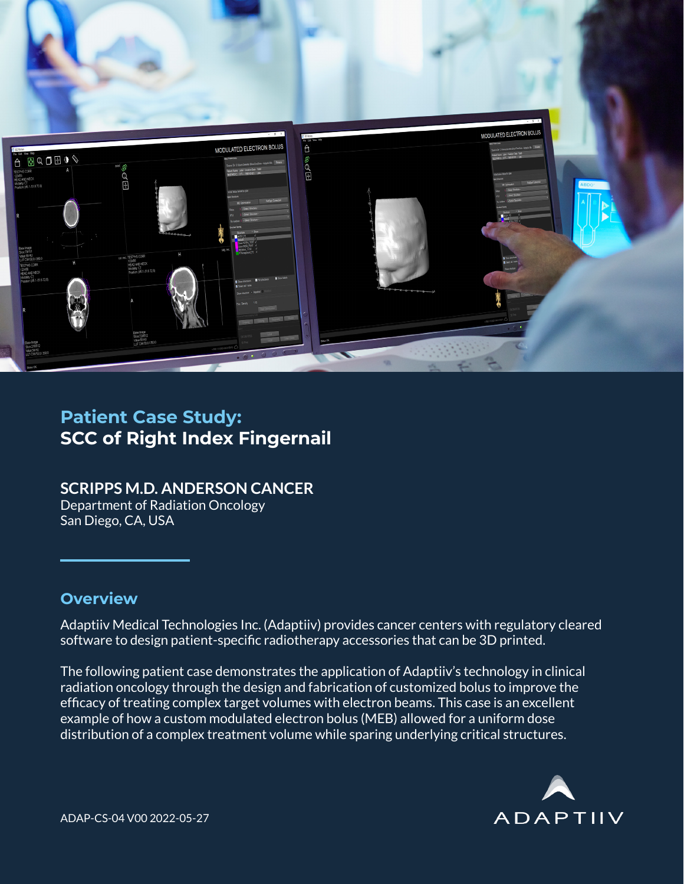

# **Patient Case Study: SCC of Right Index Fingernail**

### **SCRIPPS M.D. ANDERSON CANCER**

Department of Radiation Oncology San Diego, CA, USA

#### **Overview**

Adaptiiv Medical Technologies Inc. (Adaptiiv) provides cancer centers with regulatory cleared software to design patient-specific radiotherapy accessories that can be 3D printed.

The following patient case demonstrates the application of Adaptiiv's technology in clinical radiation oncology through the design and fabrication of customized bolus to improve the efficacy of treating complex target volumes with electron beams. This case is an excellent example of how a custom modulated electron bolus (MEB) allowed for a uniform dose distribution of a complex treatment volume while sparing underlying critical structures.



ADAP-CS-04 V00 2022-05-27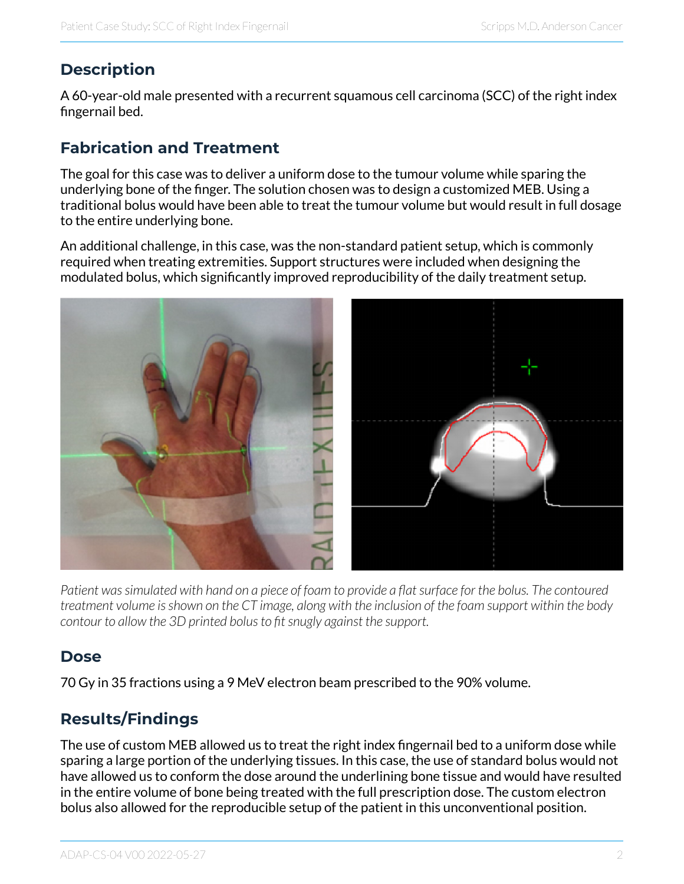# **Description**

A 60-year-old male presented with a recurrent squamous cell carcinoma (SCC) of the right index fingernail bed.

## **Fabrication and Treatment**

The goal for this case was to deliver a uniform dose to the tumour volume while sparing the underlying bone of the finger. The solution chosen was to design a customized MEB. Using a traditional bolus would have been able to treat the tumour volume but would result in full dosage to the entire underlying bone.

An additional challenge, in this case, was the non-standard patient setup, which is commonly required when treating extremities. Support structures were included when designing the modulated bolus, which significantly improved reproducibility of the daily treatment setup.



*Patient was simulated with hand on a piece of foam to provide a flat surface for the bolus. The contoured treatment volume is shown on the CT image, along with the inclusion of the foam support within the body contour to allow the 3D printed bolus to fit snugly against the support.*

## **Dose**

70 Gy in 35 fractions using a 9 MeV electron beam prescribed to the 90% volume.

# **Results/Findings**

The use of custom MEB allowed us to treat the right index fingernail bed to a uniform dose while sparing a large portion of the underlying tissues. In this case, the use of standard bolus would not have allowed us to conform the dose around the underlining bone tissue and would have resulted in the entire volume of bone being treated with the full prescription dose. The custom electron bolus also allowed for the reproducible setup of the patient in this unconventional position.